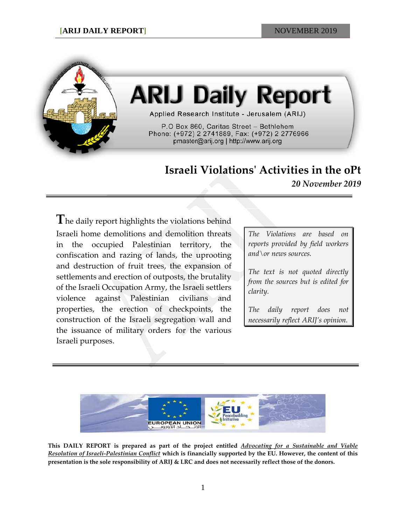

# **ARIJ Daily Report**

Applied Research Institute - Jerusalem (ARIJ)

P.O Box 860, Caritas Street - Bethlehem Phone: (+972) 2 2741889, Fax: (+972) 2 2776966 pmaster@arij.org | http://www.arij.org

## **Israeli Violations' Activities in the oPt**

*20 November 2019*

**T**he daily report highlights the violations behind Israeli home demolitions and demolition threats in the occupied Palestinian territory, the confiscation and razing of lands, the uprooting and destruction of fruit trees, the expansion of settlements and erection of outposts, the brutality of the Israeli Occupation Army, the Israeli settlers violence against Palestinian civilians and properties, the erection of checkpoints, the construction of the Israeli segregation wall and the issuance of military orders for the various Israeli purposes.

*The Violations are based on reports provided by field workers and\or news sources.*

*The text is not quoted directly from the sources but is edited for clarity.*

*The daily report does not necessarily reflect ARIJ's opinion.*



**This DAILY REPORT is prepared as part of the project entitled** *Advocating for a Sustainable and Viable Resolution of Israeli-Palestinian Conflict* **which is financially supported by the EU. However, the content of this presentation is the sole responsibility of ARIJ & LRC and does not necessarily reflect those of the donors.**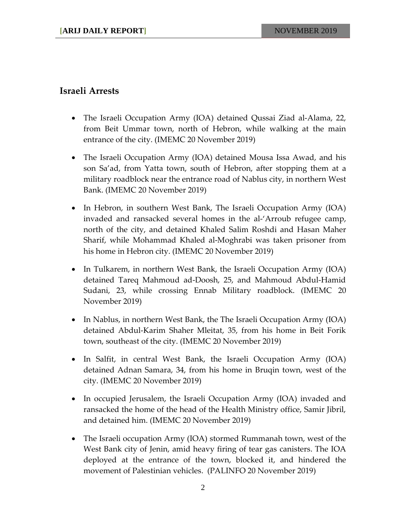#### **Israeli Arrests**

- The Israeli Occupation Army (IOA) detained Qussai Ziad al-Alama, 22, from Beit Ummar town, north of Hebron, while walking at the main entrance of the city. (IMEMC 20 November 2019)
- The Israeli Occupation Army (IOA) detained Mousa Issa Awad, and his son Sa'ad, from Yatta town, south of Hebron, after stopping them at a military roadblock near the entrance road of Nablus city, in northern West Bank. (IMEMC 20 November 2019)
- In Hebron, in southern West Bank, The Israeli Occupation Army (IOA) invaded and ransacked several homes in the al-'Arroub refugee camp, north of the city, and detained Khaled Salim Roshdi and Hasan Maher Sharif, while Mohammad Khaled al-Moghrabi was taken prisoner from his home in Hebron city. (IMEMC 20 November 2019)
- In Tulkarem, in northern West Bank, the Israeli Occupation Army (IOA) detained Tareq Mahmoud ad-Doosh, 25, and Mahmoud Abdul-Hamid Sudani, 23, while crossing Ennab Military roadblock. (IMEMC 20 November 2019)
- In Nablus, in northern West Bank, the The Israeli Occupation Army (IOA) detained Abdul-Karim Shaher Mleitat, 35, from his home in Beit Forik town, southeast of the city. (IMEMC 20 November 2019)
- In Salfit, in central West Bank, the Israeli Occupation Army (IOA) detained Adnan Samara, 34, from his home in Bruqin town, west of the city. (IMEMC 20 November 2019)
- In occupied Jerusalem, the Israeli Occupation Army (IOA) invaded and ransacked the home of the head of the Health Ministry office, Samir Jibril, and detained him. (IMEMC 20 November 2019)
- The Israeli occupation Army (IOA) stormed Rummanah town, west of the West Bank city of Jenin, amid heavy firing of tear gas canisters. The IOA deployed at the entrance of the town, blocked it, and hindered the movement of Palestinian vehicles. (PALINFO 20 November 2019)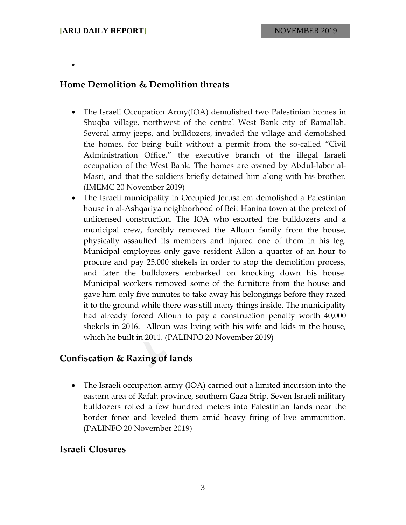•

### **Home Demolition & Demolition threats**

- The Israeli Occupation Army(IOA) demolished two Palestinian homes in Shuqba village, northwest of the central West Bank city of Ramallah. Several army jeeps, and bulldozers, invaded the village and demolished the homes, for being built without a permit from the so-called "Civil Administration Office," the executive branch of the illegal Israeli occupation of the West Bank. The homes are owned by Abdul-Jaber al-Masri, and that the soldiers briefly detained him along with his brother. (IMEMC 20 November 2019)
- The Israeli municipality in Occupied Jerusalem demolished a Palestinian house in al-Ashqariya neighborhood of Beit Hanina town at the pretext of unlicensed construction. The IOA who escorted the bulldozers and a municipal crew, forcibly removed the Alloun family from the house, physically assaulted its members and injured one of them in his leg. Municipal employees only gave resident Allon a quarter of an hour to procure and pay 25,000 shekels in order to stop the demolition process, and later the bulldozers embarked on knocking down his house. Municipal workers removed some of the furniture from the house and gave him only five minutes to take away his belongings before they razed it to the ground while there was still many things inside. The municipality had already forced Alloun to pay a construction penalty worth 40,000 shekels in 2016. Alloun was living with his wife and kids in the house, which he built in 2011. (PALINFO 20 November 2019)

#### **Confiscation & Razing of lands**

• The Israeli occupation army (IOA) carried out a limited incursion into the eastern area of Rafah province, southern Gaza Strip. Seven Israeli military bulldozers rolled a few hundred meters into Palestinian lands near the border fence and leveled them amid heavy firing of live ammunition. (PALINFO 20 November 2019)

#### **Israeli Closures**